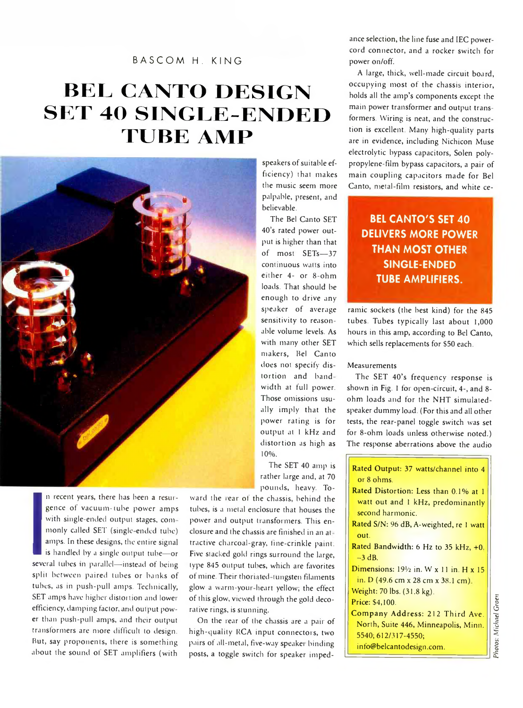## **BASCOM H. KING**

# **BEL CANTO DESIGN SET 40 SINGLE-ENDED TUBE AMP**



n r<br>
ger<br>
wit<br>
mo<br>
am<br>
is h<br>
several<br>
split b n recent years, there has been a resurgence of vacuum-lube power amps with single-ended output stages, commonly called SET (single ended tube) amps. In these designs, the entire signal is handled by a single output tube—or several tubes in parallel— instead of being split between paired tubes or banks of tubes, as in push-pull amps. Technically, SET amps have higher distortion and lower efficiency, damping factor, arid output power than push-pull amps, and their output transformers are more difficult to design. But, say proponents, there is something about the sound ot SET amplifiers (with

speakers of suitable efficiency) that makes the music seem more palpable, present, and believable.

The Bel Canto SET 40's rated power output is higher than that of most SETs— 37 continuous watts into either 4- or 8-ohm loads. That should be enough to drive any speaker of average sensitivity to reasonable volume levels. As with many other SET makers, Bel Canto does not specify distortion and hand width at full power. Those omissions usually imply that the power rating is for output at 1 kHz and distortion as high as 10**% .**

The SET 40 amp is rather large and, at 70 pounds, heavy. To-

ward the rear of the chassis, behind the tubes, is a metal enclosure that houses the power and output transformers. This enclosure and the chassis are finished in an at tractive charcoal-gray, fine-crinkle paint. Five stacked gold rings surround the large, type 845 output tubes, which are favorites of mine. Their thoriated-tungsten filaments glow a warm-your heart yellow; the effect of this glow, viewed through the gold decorative rings, is stunning.

On the rear of the chassis are a pair of high-quality RCA input connectors, two pairs of all-metal, five-way speaker binding posts, a toggle switch for speaker impedance selection, the line fuse and IEC powercord connector, and a rocker switch for power on/off.

A large, thick, well-made circuit board, occupying most of the chassis interior, holds all the amp's components except the main power transformer and output transformers. Wiring is neat, and the construction is excellent. Many high-quality parts are in evidence, including Nichicon Muse electrolytic bypass capacitors, Solen polypropylene-film bypass capacitors, a pair of main coupling capacitors made for Bel Canto, metal-film resistors, and white ce-

## **BEL CANTO'S SET 40 DELIVERS MORE POWER THAN MOST OTHER SINGLE-ENDED TUBE AMPLIFIERS.**

ramie sockets (the best kind) for the 845 tubes. Tubes typically last about 1,000 hours in this amp, according to Bel Canto, which sells replacements for \$50 each.

#### Measurements

The SET 40's frequency response is shown in Fig. 1 for open-circuit, 4-, and 8ohm loads and for the NHT simulatedspeaker dummy load. (For this and all other tests, the rear-panel toggle switch was set for 8-ohm loads unless otherwise noted.) The response aberrations above the audio

| Rated Output: 37 watts/channel into 4             |
|---------------------------------------------------|
| or 8 ohms.                                        |
| Rated Distortion: Less than 0.1% at 1             |
| watt out and 1 kHz, predominantly                 |
| second harmonic.                                  |
| Rated S/N: 96 dB, A-weighted, re 1 watt           |
| out.                                              |
| Rated Bandwidth: 6 Hz to 35 kHz, +0,              |
| $-3$ dB.                                          |
| Dimensions: $19\frac{1}{2}$ in. W x 11 in. H x 15 |
| in. D (49.6 cm x 28 cm x 38.1 cm)                 |
| Weight: 70 lbs. (31.8 kg).                        |
| Price: \$4,100.                                   |
| Company Address: 212 Third Ave.                   |
| North, Suite 446, Minneapolis, Minn.              |
| 5540; 612/317-4550;                               |
| info@belcantodesign.com.                          |

Photos: Michael Groen *Photos: Michael Groen*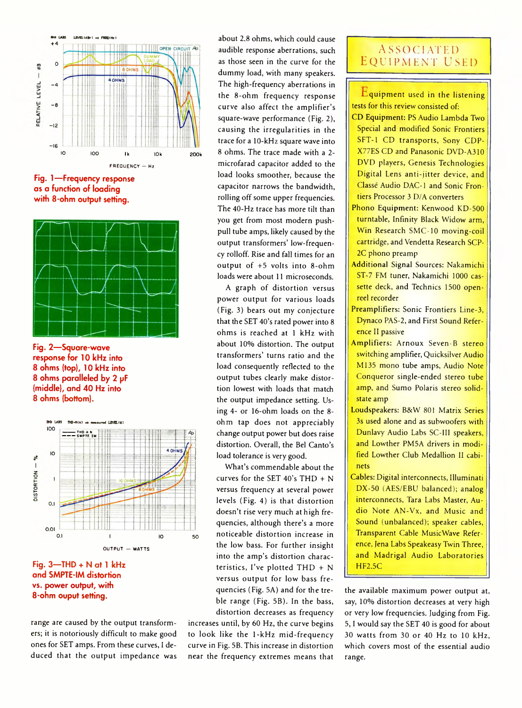

**Fig. 1— Frequency response as a function of loading with 8-ohm output setting.**



**Fig. 2— Square-wave response for 10 kHz into 8 ohms (top), 10 kHz into 8 ohms paralleled by 2 pF (middle), and 40 Hz into 8 ohms (bottom).**



**Fig. 3—THD + N at 1 kHz and SMPTE-IM distortion vs. power output, with 8-ohm ouput setting.**

range are caused by the output transformers; it is notoriously difficult to make good ones for SET amps. From these curves, I deduced that the output impedance was

about 2.8 ohms, which could cause audible response aberrations, such as those seen in the curve for the dummy load, with many speakers. The high-frequency aberrations in the 8-ohm frequency response curve also affect the amplifier's square-wave performance (Fig. 2), causing the irregularities in the trace for a 10-kHz square wave into 8 ohms. The trace made with a 2 microfarad capacitor added to the load looks smoother, because the capacitor narrows the bandwidth, rolling off some upper frequencies. The 40-Hz trace has more tilt than you get from most modern pushpull tube amps, likely caused by the output transformers' low-frequency rolloff. Rise and fall times for an output of +5 volts into 8-ohm loads were about 11 microseconds.

A graph of distortion versus power output for various loads (Fig. 3) bears out my conjecture that the SET 40's rated power into 8 ohms is reached at 1 kHz with about 10% distortion. The output transformers' turns ratio and the load consequently reflected to the output tubes clearly make distortion lowest with loads that match the output impedance setting. Using 4- or 16-ohm loads on the 8 ohm tap does not appreciably change output power but does raise distortion. Overall, the Bel Canto's load tolerance is very good.

What's commendable about the curves for the SET 40's THD + N versus frequency at several power levels (Fig. 4) is that distortion doesn't rise very much at high frequencies, although there's a more noticeable distortion increase in the low bass. For further insight into the amp's distortion characteristics, I've plotted  $THD + N$ versus output for low bass frequencies (Fig. 5A) and for the treble range (Fig. 5B). In the bass, distortion decreases as frequency

increases until, by 60 Hz, the curve begins to look like the 1-kHz mid-frequency curve in Fig. 5B. This increase in distortion near the frequency extremes means that

### **Associated Equipment used**

Equipment used in the listening tests for this review consisted of;

- CD Equipment: PS Audio Lambda Two Special and modified Sonic Frontiers SFT-1 CD transports, Sony CDP-X77ES CD and Panasonic DVD-A310 DVD players, Genesis Technologies Digital Lens anti-jitter device, and Classe Audio DAC-1 and Sonic Frontiers Processor 3 D/A converters
- Phono Equipment: Kenwood KD-500 turntable, Infinity Black Widow arm, Win Research SMC-10 moving-coil cartridge, and Vendetta Research SCP-2C phono preamp
- Additional Signal Sources: Nakamichi ST-7 FM tuner, Nakamichi 1000 cassette deck, and Technics 1500 openreel recorder
- Preamplifiers: Sonic Frontiers Line-3, Dynaco PAS-2, and First Sound Reference II passive
- Amplifiers: Arnoux Seven-B stereo switching amplifier, Quicksilver Audio M135 mono tube amps, Audio Note Conqueror single-ended stereo tube amp, and Sumo Polaris stereo solidstate amp
- Loudspeakers: B&W 801 Matrix Series 3s used alone and as subwoofers with Dunlavy Audio Labs SC-III speakers, and Lowther PM5A drivers in modified Lowther Club Medallion II cabinets
- Cables: Digital interconnects, Illuminati DX-50 (AES/EBU balanced); analog interconnects, Tara Labs Master, Audio Note AN-Vx, and Music and Sound (unbalanced); speaker cables, Transparent Cable MusicWave Reference, Jena Labs Speakeasy Twin Three, and Madrigal Audio Laboratories HF2.5C

the available maximum power output at, say, 10% distortion decreases at very high or very low frequencies. Judging from Fig. 5 ,1 would say the SET 40 is good for about 30 watts from 30 or 40 Hz to 10 kHz, which covers most of the essential audio range.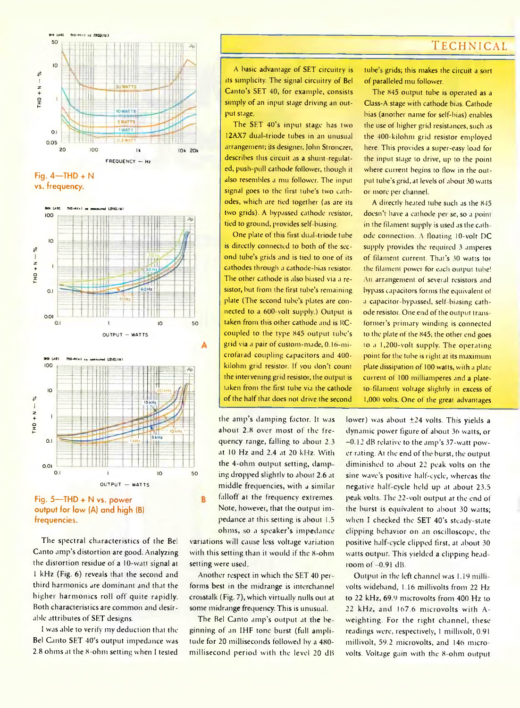### **Technical**



**Fig. 4—THD + N vs. frequency.**





**Fig. 5—THD + N vs. power output for low (A) and high (B) frequencies.**

The spectral characteristics of the Bel: Canto amp's distortion are good. Analyzing the distortion residue of a 10-watt signal at 1 kHz (Fig. 6) reveals that the second and third harmonics are dominant and that the higher harmonics roll ofl quite rapidly. Both characteristics are common and desirable attributes of SET designs.

1 was able to verify my deduction that the Bel Canto SET 40's output impedance was 2.8 ohms at the 8-ohm setting when 1 tested

A basic advantage of SET circuitry is its simplicity. The signal circuitry of Bel Canto's SET 40, for example, consists simply of an input stage driving an output stage

The SFT 40's input stage has two 12AX7 dual-triode tubes in an unusual arrangement; its designer, John Stronczer, describes this circuit as a shunt-regulated, push-pull cathode follower, though it also resembles a mu follower. The input signal goes to the first tube's two cathodes, which are tied together (as are its two grids). A bypassed cathode resistor, tied to ground, provides self biasing.

One plate of this first dual-triode tube is directly connected to both of the second tube's grids and is tied to one of its cathodes through a cathode-bias resistor. The other cathode is also biased via a resistor, but from the first tube's remaining plate (The second tube's plates are connected to a 600-volt supply.) Output is taken from this other cathode and is RCcoupled to the type 845 output tube's grid via a pair of custom-made, 0.16 microfarad coupling capacitors and 400 kilohm grid resistor. If you don't count the intervening grid resistor, the output is taken from the first tube via the cathode of the half that does not drive the second

the amp's damping factor. It was about 2.8 over most of the frequency range, falling to about 2.3 at 10 Hz and 2.4 at 20 kHz. With the 4-ohm output setting, damping dropped slightly to about 2.6 at middle frequencies, with a similar falloff at the frequency extremes. Note, however, that the output impedance at this setting is about 1.5 ohms, so a speaker's impedance

variations will cause less voltage variation with this setting than it would if the 8-ohm setting were used.

B

Another respect in which the SET 40 per forms best in the midrange is interchannel crosstalk (Fig. 7), which virtually nulls out at some midrange frequency. This is unusual.

The Bel Canto amp's output at the beginning of an IHF tone burst (full amplitude for 20 milliseconds followed by a 480 millisecond period with the level 20 dB tube's grids; this makes the circuit a sort of paralleled mu follower.

The 845 output tube is operated as a Class-A stage with cathode Dias. Cathode bias (another name for self-bias) enables the use of higher grid resistances, such as the 400-kilohm grid resistor employed here. This provides a super-easy load for the input stage to drive, up to the point where current begins to flow in the output tube's grid, at levels of about 30 watts or more per channel.

A directly heated tube such as the 845 doesn't have a cathode per se, so a point in the filament supply is used as the cathode connection. A floating 10-volt DC supply provides the required 3 amperes of filament current. That's 30 watts for the filament power for each output tube! An arrangement of several resistors and bypass capacitors forms the equivalent of a capacitor-bypassed, self biasing cathode resistor One end of the output transformer's primary winding is connected to the plate of the 845; the other end goes to a 1,200-volt supply. The operating point forthe tube is right at its maximum plate dissipation of 100 watts, with a plate current of 100 milliamperes and a plateto filament voltage slightly in excess of 1,000 volts. One ot the great advantages

lower) was about  $\pm 24$  volts. This yields a dynamic power figure of about 36 watts, or -0.12 dB relative to the amp's 37-watt power rating. At the end of the burst, the output diminished to about 22 peak volts on the sine wave's positive half-cycle, whereas the negative half-cycle held up at about 23.5 peak volts. The 22-volt output at the end of the burst is equivalent to about 30 watts; when I checked the SET 40's steady-state clipping behavior on an oscilloscope, the positive half-cycle clipped first, at about 30 watts output. This yielded a clipping headroom of  $-0.91$  dB.

Output in the left channel was 1.19 mill; volts wideband, 1.16 millivolts from 22 Hz to 22 kHz, 69.9 microvolts from 400 Hz to 22 kHz, and 167.6 microvolts with A weighting. For the right channel, these readings were, respectively, 1 millivolt, 0.91 millivolt, 59.2 microvolts, and 146 microvolts. Voltage gain with the 8-ohm output